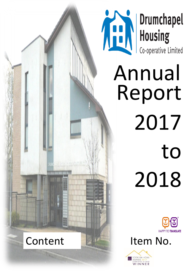

# **The Munited Religions**

Annual Report 2017 to 2018



Item No.



Content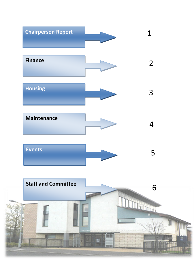

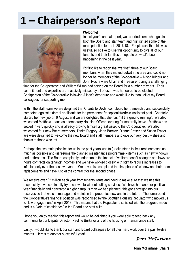# **1 – Chairperson's Report**



#### **Welcome!**

In last year's annual report, we reported some changes in both the Board and staff team and highlighted some of the main priorities for us in 2017/18. People said that this was useful, so I'd like to use this opportunity to give all of our tenants and their families an update on what's been happening in the past year.

I'd first like to report that we "lost" three of our Board members when they moved outwith the area and could no longer be members of the Co-operative – Alison Kilgour and John Roche were Chair and Treasurer during a challenging

time for the Co-operative and William Wilson had served on the Board for a number of years. Their commitment and expertise are massively missed by all of us. I was honoured to be elected Chairperson of the Co-operative following Alison's departure and would like to thank all of my Board colleagues for supporting me.

Within the staff team we are delighted that Chantelle Devlin completed her traineeship and successfully competed against external applicants for the permanent Receptionist/Admin Assistant post. Chantelle started her new job on 6 August and we are delighted that she has "hit the ground running". We also welcomed Matthew Leach as a temporary Housing Officer covering for maternity leave. Matthew has settled in very quickly and is already proving himself a great asset to the Co-operative. We also welcomed four new Board members, Tanith Diggory, Jean Barclay, Dionne Fraser and Susan Fraser. We were delighted to welcome the new Board and staff members and give our very best wishes and thanks to those who left.

Perhaps the two main priorities for us in the past years was to (i) take steps to limit rent increases as much as possible and (ii) resume the planned maintenance programme – items such as new windows and bathrooms. The Board completely understands the impact of welfare benefit changes and low/zero hours contracts on tenants' incomes and we have worked closely with staff to reduce increases to inflation only over the past two years. We have also completed the first phase of window and bathroom replacements and have just let the contract for the second phase.

We receive over £2 million each year from tenants' rents and need to make sure that we use this responsibly – we continually try to cut waste without cutting services. We have had another positive year financially and generated a higher surplus than we had planned; this goes straight into our reserves so that we can manage and maintain the properties now and in the future. The turnaround in the Co-operative's financial position was recognised by the Scottish Housing Regulator who moved us to "low engagement" in April 2018. This means that the Regulator is satisfied with the progress made and is a "vote of confidence" in the Board and staff alike.

I hope you enjoy reading this report and would be delighted if you were able to feed back any comments to our Depute Director, Pauline Burke or any of the housing or maintenance staff.

Lastly, I would like to thank our staff and Board colleagues for all their hard work over the past twelve months. Here's to another successful year!

#### *Joan McFarlane*

**Joan McFarlane (Chair)**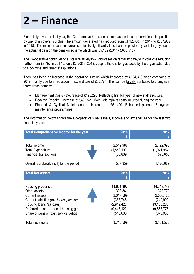## **2 – Finance**

Financially, over the last year, the Co-operative has seen an increase in its short term financial position by way of an overall surplus. The amount generated has reduced from £1,126,087 in 2017 to £587,959 in 2018. The main reason the overall surplus is significantly less than the previous year is largely due to the actuarial gain on the pension scheme which was £5,132 (2017 - £685,515).

The Co-operative continues to sustain relatively low void losses on rental income, with void loss reducing further from £3,757 in 2017 to only £2,908 in 2018, despite the challenges faced by the organisation due to stock type and tenants' aspirations.

There has been an increase in the operating surplus which improved by £104,366 when compared to 2017, mainly due to a reduction in expenditure of £83,774. This can be largely attributed to changes in three areas namely:

- Management Costs Decrease of £195,295. Reflecting first full year of new staff structure.
- Reactive Repairs Increase of £49,952. More void repairs costs incurred during the year.
- Planned & Cyclical Maintenance Increase of £51,499. Enhanced planned & cyclical maintenance programmes.

The information below shows the Co-operative's net assets, income and expenditure for the last two financial years:

| <b>Total Comprehensive Income for the year</b>                                   | 2018                                  | 2017                                |
|----------------------------------------------------------------------------------|---------------------------------------|-------------------------------------|
|                                                                                  |                                       |                                     |
| <b>Total Income</b><br><b>Total Expenditure</b><br><b>Financial transactions</b> | 2,512,988<br>(1,858,190)<br>(66, 839) | 2,492,396<br>(1,941,964)<br>575,655 |
| Overall Surplus/(Deficit) for the period                                         | 587,959                               | 1,126,087                           |
|                                                                                  |                                       |                                     |
| <b>Total Net Assets</b>                                                          | 2018                                  | 2017                                |
|                                                                                  |                                       |                                     |
| Housing properties                                                               | 14,661,397                            | 14,713,743                          |
| Other assets                                                                     | 333,861                               | 323,770                             |
| <b>Current assets</b>                                                            | 2,017,569                             | 2,066,120                           |
| Current liabilities (exc loans, pension)                                         | (355, 746)                            | (249, 992)                          |
| Housing loans (all loans)                                                        | (2,949,420)                           | (3, 166, 285)                       |
| Deferred Income - social housing grant                                           | (9,448,122)                           | (9,885,778)                         |
| Share of pension past service deficit                                            | (540,000)                             | (670,000)                           |
| Total net assets                                                                 | 3,718,599                             | 3,131,578                           |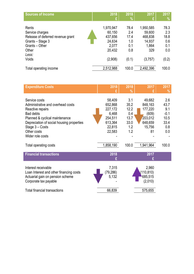| <b>Sources of Income</b>                                                                                                       | 2018                                                                   | 2018                                              | 2017                                                                | 2017                                              |
|--------------------------------------------------------------------------------------------------------------------------------|------------------------------------------------------------------------|---------------------------------------------------|---------------------------------------------------------------------|---------------------------------------------------|
|                                                                                                                                | £                                                                      | %                                                 | £                                                                   | $\%$                                              |
| Rents<br>Service charges<br>Release of deferred revenue grant<br>Grants - Stage 3<br>Grants - Other<br>Other<br>Less:<br>Voids | 1,970,947<br>60,150<br>437,656<br>24,634<br>2,077<br>20,432<br>(2,908) | 78.4<br>2.4<br>17.4<br>1.0<br>0.1<br>0.8<br>(0.1) | 1,950,585<br>59,600<br>468,838<br>14,937<br>1,864<br>329<br>(3,757) | 78.3<br>2.3<br>18.8<br>0.6<br>0.1<br>0.0<br>(0.2) |
| Total operating income                                                                                                         | 2,512,988                                                              | 100.0                                             | 2,492,396                                                           | 100.0                                             |

| <b>Expenditure Costs</b>                                                                                                                                                                                                        | 2018                                                                            | 2018<br>%                                                | 2017                                                                        | 2017<br>%                                                  |
|---------------------------------------------------------------------------------------------------------------------------------------------------------------------------------------------------------------------------------|---------------------------------------------------------------------------------|----------------------------------------------------------|-----------------------------------------------------------------------------|------------------------------------------------------------|
| Service costs<br>Administrative and overhead costs<br>Reactive repairs<br><b>Bad debts</b><br>Planned & cyclical maintenance<br>Depreciation of social housing properties<br>Stage 3 - Costs<br>Other costs<br>Wider role costs | 58,409<br>652,868<br>227,172<br>6,468<br>254,511<br>613,364<br>22,815<br>22,583 | 3.1<br>35.2<br>12.2<br>0.4<br>13.7<br>33.0<br>1.2<br>1.2 | 49,682<br>848,163<br>177,220<br>(609)<br>203,012<br>648,659<br>15,756<br>81 | 2.6<br>43.7<br>9.1<br>$-0.1$<br>10.5<br>33.4<br>0.8<br>0.0 |
| Total operating costs                                                                                                                                                                                                           | 1,858,190                                                                       | 100.0                                                    | 1,941,964                                                                   | 100.0                                                      |
| <b>Financial transactions</b>                                                                                                                                                                                                   | 2018                                                                            |                                                          | 2017                                                                        |                                                            |
| Interest receivable<br>Loan Interest and other financing costs<br>Actuarial gain on pension scheme<br>Corporate tax payable                                                                                                     | 7,315<br>(79, 286)<br>5,132                                                     |                                                          | 2,960<br>110,810)<br>685,515<br>(2,010)                                     |                                                            |
| Total financial transactions                                                                                                                                                                                                    | 66,839                                                                          |                                                          | 575,655                                                                     |                                                            |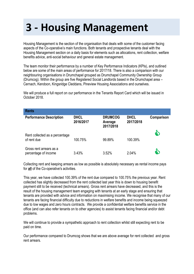# **3 - Housing Management**

Housing Management is the section of the organisation that deals with some of the customer facing aspects of the Co-operative's main functions. Both tenants and prospective tenants deal with the Housing Management section on a daily basis for elements such as allocations, rent collection, welfare benefits advice, anti-social behaviour and general estate management.

The team monitor their performance by a number of Key Performance Indicators (KPIs), and outlined below are some of the main areas of performance for 2017/18. There is also a comparison with our neighbouring organisations in Drumchapel grouped as Drumchapel Community Ownership Group (Drumcog). Within the group are five Registered Social Landlords based in the Drumchapel area – Cernach, Kendoon, Kingsridge Cleddans, Pineview Housing Associations and ourselves.

We will produce a full report on our performance in the Tenants Report Card which will be issued in October 2018.

| <b>Rents</b>                                    |                          |                                        |                          |            |
|-------------------------------------------------|--------------------------|----------------------------------------|--------------------------|------------|
| <b>Performance Description</b>                  | <b>DHCL</b><br>2016/2017 | <b>DRUMCOG</b><br>Average<br>2017/2018 | <b>DHCL</b><br>2017/2018 | Comparison |
| Rent collected as a percentage<br>of rent due   | 100.75%                  | 99.89%                                 | 100.39%                  | \$         |
| Gross rent arrears as a<br>percentage of income | 3.43%                    | 3.52%                                  | 2.04%                    | \$         |

Collecting rent and keeping arrears as low as possible is absolutely necessary as rental income pays for **all** of the Co-operative's activities.

This year, we have collected 100.39% of the rent due compared to 100.75% the previous year. Rent collected has slightly decreased from the rent collected last year this is down to housing benefit payment still to be received (technical arrears). Gross rent arrears have decreased, and this is the result of the housing management team engaging with tenants at an early stage and ensuring that tenants are provided with advice and information on maximising income. We recognise that many of our tenants are facing financial difficulty due to reductions in welfare benefits and income being squeezed due to low wages and zero hours contracts. We provide a confidential welfare benefits service in the office (and can also refer tenants on to other agencies) to assist tenants facing financial and/or debt problems.

We will continue to provide a sympathetic approach to rent collection whilst still expecting rent to be paid on time.

Our performance compared to Drumcog shows that we are above average for rent collected and gross rent arrears.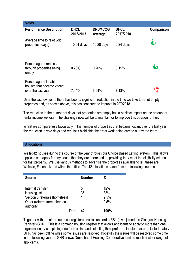| <b>Voids</b>                                                              |                          |                           |                          |            |
|---------------------------------------------------------------------------|--------------------------|---------------------------|--------------------------|------------|
| <b>Performance Description</b>                                            | <b>DHCL</b><br>2016/2017 | <b>DRUMCOG</b><br>Average | <b>DHCL</b><br>2017/2018 | Comparison |
| Average time to relet void<br>properties (days)                           | $10.64$ days             | $10.28$ days              | $6.24$ days              | 5          |
| Percentage of rent lost<br>through properties being<br>empty              | 0.20%                    | 0.20%                     | 0.15%                    | g          |
| Percentage of lettable<br>houses that became vacant<br>over the last year | 7.44%                    | 6.94%                     | 7.13%                    | ্র<br>∖    |

Over the last few years there has been a significant reduction in the time we take to re-let empty properties and, as shown above, this has continued to improve in 207/2018.

The reduction in the number of days that properties are empty has a positive impact on the amount of rental income we lose. The challenge now will be to maintain or to improve this position further.

Whilst we compare less favourably in the number of properties that became vacant over the last year, the reduction in void days and rent loss highlights the great work being carried out by the team.

#### **Allocations**

We let **42** houses during the course of the year through our Choice Based Letting system. This allows applicants to apply for any house that they are interested in, providing they meet the eligibility criteria for that property. We use various methods to advertise the properties available to let, these are: Website, Facebook and within the office. The 42 allocations came from the following sources:

| <b>Source</b>                                                                                                         | <b>Number</b> | %                          |
|-----------------------------------------------------------------------------------------------------------------------|---------------|----------------------------|
| Internal transfer<br>Housing list<br>Section 5 referrals (homeless)<br>Other (referral from other local<br>authority) | 5<br>35       | 12%<br>83%<br>2.5%<br>2.5% |
| Total∙                                                                                                                | 42            | $100\%$                    |

Together with the other four local registered social landlords (RSLs), we joined the Glasgow Housing Register (GHR). This is a common housing register that allows applicants to apply to more than one organisation by completing one form online and selecting their preferred landlords/areas. Unfortunately GHR has been offline while some issues are resolved, hopefully the issues will be resolved some time in the following year as GHR allows Drumchapel Housing Co-operative Limited reach a wider range of applicants.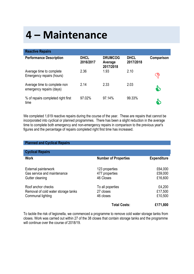## **4 – Maintenance**

| <b>Reactive Repairs</b>                                  |                          |                                        |                          |            |
|----------------------------------------------------------|--------------------------|----------------------------------------|--------------------------|------------|
| <b>Performance Description</b>                           | <b>DHCL</b><br>2016/2017 | <b>DRUMCOG</b><br>Average<br>2017/2018 | <b>DHCL</b><br>2017/2018 | Comparison |
| Average time to complete<br>Emergency repairs (hours)    | 2.36                     | 1.93                                   | 2.10                     | ි          |
| Average time to complete non<br>emergency repairs (days) | 2.14                     | 2.33                                   | 2.03                     | \$         |
| % of repairs completed right first<br>time               | 97.02%                   | 97.14%                                 | 99.33%                   | 9          |

We completed 1,619 reactive repairs during the course of the year. These are repairs that cannot be incorporated into cyclical or planned programmes. There has been a slight reduction in the average time to complete both emergency and non-emergency repairs in comparison to the previous year's figures and the percentage of repairs completed right first time has increased.

| <b>Planned and Cyclical Repairs</b>                                            |                                               |                               |
|--------------------------------------------------------------------------------|-----------------------------------------------|-------------------------------|
| <b>Cyclical Repairs</b>                                                        |                                               |                               |
| <b>Work</b>                                                                    | <b>Number of Properties</b>                   | <b>Expenditure</b>            |
| External painterwork<br>Gas service and maintenance<br>Gutter cleaning         | 123 properties<br>477 properties<br>46 Closes | £64,000<br>£59,000<br>£16,600 |
| Roof anchor checks<br>Removal of cold water storage tanks<br>Communal lighting | To all poperties<br>27 closes<br>46 closes    | £4,200<br>£17,500<br>£10,500  |
|                                                                                | <b>Total Costs:</b>                           | £171,800                      |

To tackle the risk of legionella, we commenced a programme to remove cold water storage tanks from closes. Work was carried out within 27 of the 38 closes that contain storage tanks and the programme will continue over the course of 2018/19.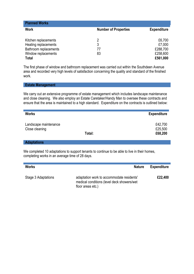| <b>Planned Works</b>  |                             |                    |
|-----------------------|-----------------------------|--------------------|
| <b>Work</b>           | <b>Number of Properties</b> | <b>Expenditure</b> |
|                       | 2                           |                    |
| Kitchen replacements  |                             | £6,700             |
| Heating replacements  | 3                           | £7,000             |
| Bathroom replacements | 77                          | £288,700           |
| Window replacements   | 83                          | £258,600           |
| <b>Total</b>          |                             | £561,000           |

The first phase of window and bathroom replacement was carried out within the Southdeen Avenue area and recorded very high levels of satisfaction concerning the quality and standard of the finished work.

#### **Estate Management**

We carry out an extensive programme of estate management which includes landscape maintenance and close cleaning. We also employ an Estate Caretaker/Handy Man to oversee these contracts and ensure that the area is maintained to a high standard. Expenditure on the contracts is outlined below:

| <b>Works</b>                            |        | <b>Expenditure</b>            |
|-----------------------------------------|--------|-------------------------------|
| Landscape maintenance<br>Close cleaning | Total: | £42,700<br>£25,500<br>£68,200 |

**Adaptations**

We completed 10 adaptations to support tenants to continue to be able to live in their homes, completing works in an average time of 28 days.

| <b>Works</b>        | <b>Nature</b>                                                                                                | <b>Expenditure</b> |
|---------------------|--------------------------------------------------------------------------------------------------------------|--------------------|
| Stage 3 Adaptations | adaptation work to accommodate residents'<br>medical conditions (level deck showers/wet<br>floor areas etc.) | £22,400            |